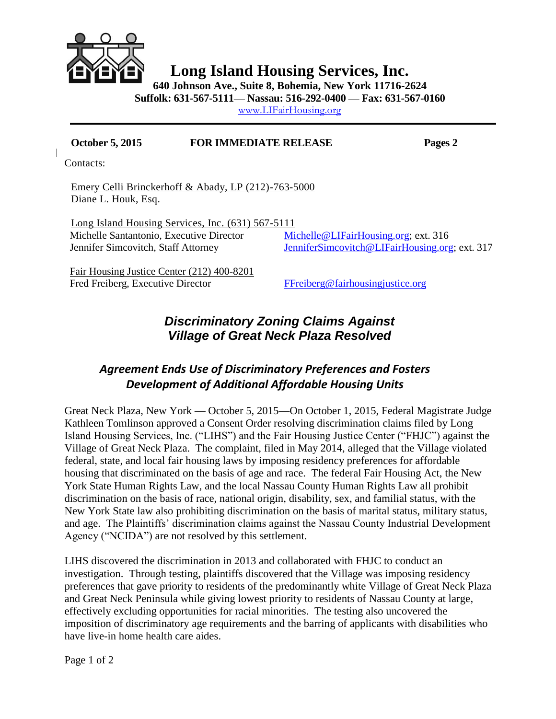

**Long Island Housing Services, Inc.**

**640 Johnson Ave., Suite 8, Bohemia, New York 11716-2624**

**Suffolk: 631-567-5111— Nassau: 516-292-0400 — Fax: 631-567-0160**

[www.LIFairHousing.org](http://www.lifairhousing.org/)

## **October 5, 2015 FOR IMMEDIATE RELEASE Pages 2**

Contacts:

Emery Celli Brinckerhoff & Abady, LP (212)-763-5000 Diane L. Houk, Esq.

Long Island Housing Services, Inc. (631) 567-5111 Michelle Santantonio, Executive Director [Michelle@LIFairHousing.org;](mailto:Michelle@LIFairHousing.org) ext. 316 Jennifer Simcovitch, Staff Attorney [JenniferSimcovitch@LIFairHousing.org;](mailto:JenniferSimcovitch@LIFairHousing.org) ext. 317

 Fair Housing Justice Center (212) 400-8201 Fred Freiberg, Executive Director Freiberg@fairhousingjustice.org

## *Discriminatory Zoning Claims Against Village of Great Neck Plaza Resolved*

## *Agreement Ends Use of Discriminatory Preferences and Fosters Development of Additional Affordable Housing Units*

Great Neck Plaza, New York — October 5, 2015—On October 1, 2015, Federal Magistrate Judge Kathleen Tomlinson approved a Consent Order resolving discrimination claims filed by Long Island Housing Services, Inc. ("LIHS") and the Fair Housing Justice Center ("FHJC") against the Village of Great Neck Plaza. The complaint, filed in May 2014, alleged that the Village violated federal, state, and local fair housing laws by imposing residency preferences for affordable housing that discriminated on the basis of age and race. The federal Fair Housing Act, the New York State Human Rights Law, and the local Nassau County Human Rights Law all prohibit discrimination on the basis of race, national origin, disability, sex, and familial status, with the New York State law also prohibiting discrimination on the basis of marital status, military status, and age. The Plaintiffs' discrimination claims against the Nassau County Industrial Development Agency ("NCIDA") are not resolved by this settlement.

LIHS discovered the discrimination in 2013 and collaborated with FHJC to conduct an investigation. Through testing, plaintiffs discovered that the Village was imposing residency preferences that gave priority to residents of the predominantly white Village of Great Neck Plaza and Great Neck Peninsula while giving lowest priority to residents of Nassau County at large, effectively excluding opportunities for racial minorities. The testing also uncovered the imposition of discriminatory age requirements and the barring of applicants with disabilities who have live-in home health care aides.

Page 1 of 2